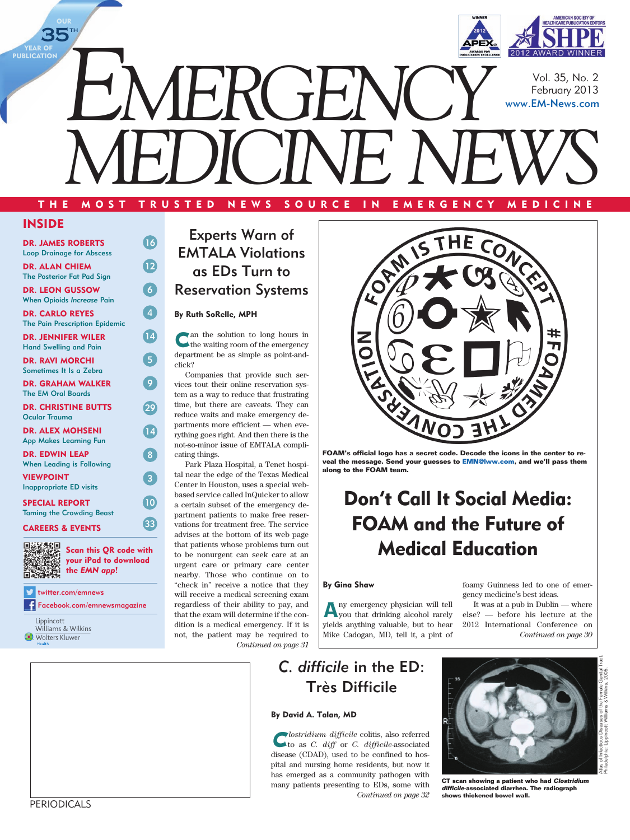

Vol. 35, No. 2 February 2013 [www.EM-News.com](http://www.EM-News.com)

THE MOST TRUSTED NEWS SOURCE IN EMERGENCY MEDICINE

*MEDICINE NEWS*

## INSIDE

**OUR** 

 $35^{\circ}$ 

YEAR OF **PUBLICATION** 

| <b>DR. JAMES ROBERTS</b><br><b>Loop Drainage for Abscess</b>    | 16              |
|-----------------------------------------------------------------|-----------------|
| <b>DR. ALAN CHIEM</b><br><b>The Posterior Fat Pad Sign</b>      | $\overline{12}$ |
| <b>DR. LEON GUSSOW</b><br><b>When Opioids Increase Pain</b>     | 6               |
| <b>DR. CARLO REYES</b><br><b>The Pain Prescription Epidemic</b> | 4               |
| <b>DR. JENNIFER WILER</b><br><b>Hand Swelling and Pain</b>      | 14              |
| <b>DR. RAVI MORCHI</b><br>Sometimes It Is a Zebra               | 5               |
| <b>DR. GRAHAM WALKER</b><br><b>The EM Oral Boards</b>           | 9               |
| <b>DR. CHRISTINE BUTTS</b><br><b>Ocular Trauma</b>              | 29              |
| <b>DR. ALEX MOHSENI</b><br>App Makes Learning Fun               | 14              |
| <b>DR. EDWIN LEAP</b><br><b>When Leading is Following</b>       | 8               |
| <b>VIEWPOINT</b><br><b>Inappropriate ED visits</b>              | $\overline{3}$  |
| <b>SPECIAL REPORT</b><br><b>Taming the Crowding Beast</b>       | 10              |
| CAREERS & EVENTS                                                | 33              |

#### CAREERS & EVENTS



Scan this QR code with your iPad to download the *EMN app*!

[twitter.com/emnews](http://www.twitter.com/emnews) £ [Facebook.com/emnewsmagazine](http://www.Facebook.com/emnewsmagazine)

Lippincott Lippincott<br>Williams & Wilkins **Wolters Kluwer** 

Experts Warn of EMTALA Violations as EDs Turn to Reservation Systems

#### By Ruth SoRelle, MPH

Can the solution to long hours in the waiting room of the emergency department be as simple as point-andclick?

Companies that provide such services tout their online reservation system as a way to reduce that frustrating time, but there are caveats. They can reduce waits and make emergency departments more efficient — when everything goes right. And then there is the not-so-minor issue of EMTALA complicating things.

Park Plaza Hospital, a Tenet hospital near the edge of the Texas Medical Center in Houston, uses a special webbased service called InQuicker to allow a certain subset of the emergency department patients to make free reservations for treatment free. The service advises at the bottom of its web page that patients whose problems turn out to be nonurgent can seek care at an urgent care or primary care center nearby. Those who continue on to "check in" receive a notice that they will receive a medical screening exam regardless of their ability to pay, and that the exam will determine if the condition is a medical emergency. If it is not, the patient may be required to *Continued on page 31*



**FOAM's official logo has a secret code. Decode the icons in the center to reveal the message. Send your guesses to [EMN@lww.com](mailto:EMN%40lww.com?subject=), and we'll pass them along to the FOAM team.**

# Don't Call It Social Media: FOAM and the Future of Medical Education

#### By Gina Shaw

Any emergency physician will tell you that drinking alcohol rarely yields anything valuable, but to hear Mike Cadogan, MD, tell it, a pint of

## *C. difficile* in the ED: Très Difficile

#### By David A. Talan, MD

C*lostridium difficile* colitis, also referred to as *C. diff* or *C. difficile*-associated disease (CDAD), used to be confined to hospital and nursing home residents, but now it has emerged as a community pathogen with many patients presenting to EDs, some with *Continued on page 32*



foamy Guinness led to one of emer-

It was at a pub in Dublin — where else? — before his lecture at the 2012 International Conference on

*Continued on page 30*

gency medicine's best ideas.

**CT scan showing a patient who had Clostridium difficile- associated diarrhea. The radiograph shows thickened bowel wall.**